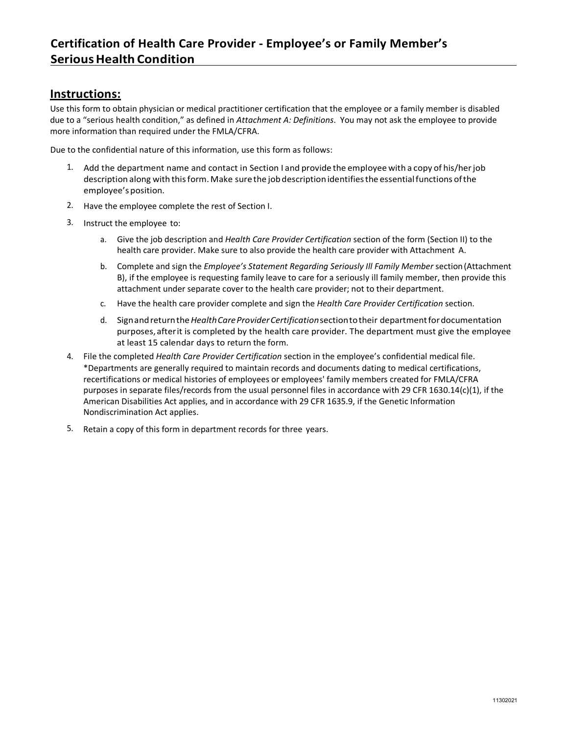# **Instructions:**

Use this form to obtain physician or medical practitioner certification that the employee or a family member is disabled due to a "serious health condition," as defined in *Attachment A: Definitions*. You may not ask the employee to provide more information than required under the FMLA/CFRA.

Due to the confidential nature of this information, use this form as follows:

- 1. Add the department name and contact in Section I and provide the employee with a copy of his/herjob description along with thisform. Make surethe jobdescriptionidentifiesthe essentialfunctions ofthe employee'sposition.
- 2. Have the employee complete the rest of Section I.
- 3. Instruct the employee to:
	- a. Give the job description and *Health Care Provider Certification* section of the form (Section II) to the health care provider. Make sure to also provide the health care provider with Attachment A.
	- b. Complete and sign the *Employee's Statement Regarding Seriously Ill Family Member* section(Attachment B), if the employee is requesting family leave to care for a seriously ill family member, then provide this attachment under separate cover to the health care provider; not to their department.
	- c. Have the health care provider complete and sign the *Health Care Provider Certification* section.
	- d. Signandreturnthe*HealthCareProviderCertification*sectiontotheir departmentfordocumentation purposes, after it is completed by the health care provider. The department must give the employee at least 15 calendar days to return the form.
- 4. File the completed *Health Care Provider Certification* section in the employee's confidential medical file. \*Departments are generally required to maintain records and documents dating to medical certifications, recertifications or medical histories of employees or employees' family members created for FMLA/CFRA purposes in separate files/records from the usual personnel files in accordance with 29 CFR 1630.14(c)(1), if the American Disabilities Act applies, and in accordance with 29 CFR 1635.9, if the Genetic Information Nondiscrimination Act applies.
- 5. Retain a copy of this form in department records for three years.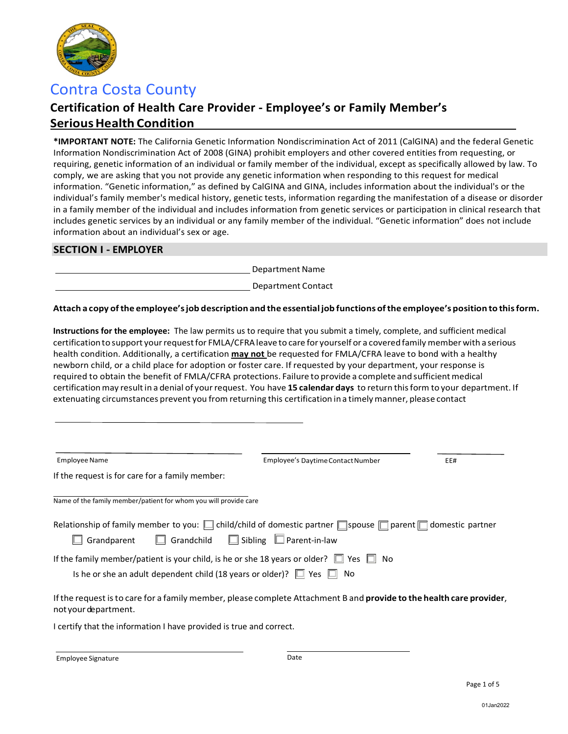

# Contra Costa County

# **Certification of Health Care Provider - Employee's or Family Member's SeriousHealth Condition**

**\*IMPORTANT NOTE:** The California Genetic Information Nondiscrimination Act of 2011 (CalGINA) and the federal Genetic Information Nondiscrimination Act of 2008 (GINA) prohibit employers and other covered entities from requesting, or requiring, genetic information of an individual or family member of the individual, except as specifically allowed by law. To comply, we are asking that you not provide any genetic information when responding to this request for medical information. "Genetic information," as defined by CalGINA and GINA, includes information about the individual's or the individual's family member's medical history, genetic tests, information regarding the manifestation of a disease or disorder in a family member of the individual and includes information from genetic services or participation in clinical research that includes genetic services by an individual or any family member of the individual. "Genetic information" does not include information about an individual's sex or age.

# **SECTION I - EMPLOYER**

Department Name

Department Contact

### **Attach a copy ofthe employee'sjob descriptionand the essentialjob functions ofthe employee's position to thisform.**

**Instructions for the employee:** The law permits us to require that you submit a timely, complete, and sufficient medical certification to support your request for FMLA/CFRA leave to care for yourself or a covered family member with a serious health condition. Additionally, a certification **may not** be requested for FMLA/CFRA leave to bond with a healthy newborn child, or a child place for adoption or foster care. If requested by your department, your response is required to obtain the benefit of FMLA/CFRA protections. Failure to provide a complete and sufficient medical certificationmay resultin a denial of yourrequest. You have **15 calendar days** to return thisform to your department. If extenuating circumstances prevent you from returning this certification ina timelymanner, please contact

| <b>Employee Name</b>                                                                                                                                                                                  | Employee's Daytime Contact Number                                                                                            | EE# |  |  |  |  |  |
|-------------------------------------------------------------------------------------------------------------------------------------------------------------------------------------------------------|------------------------------------------------------------------------------------------------------------------------------|-----|--|--|--|--|--|
| If the request is for care for a family member:                                                                                                                                                       |                                                                                                                              |     |  |  |  |  |  |
| Name of the family member/patient for whom you will provide care                                                                                                                                      |                                                                                                                              |     |  |  |  |  |  |
| Relationship of family member to you: $\Box$ child/child of domestic partner $\Box$ spouse $\Box$ parent $\Box$ domestic partner<br>Grandparent $\Box$ Grandchild $\Box$ Sibling $\Box$ Parent-in-law |                                                                                                                              |     |  |  |  |  |  |
| If the family member/patient is your child, is he or she 18 years or older? $\Box$ Yes $\Box$ No<br>Is he or she an adult dependent child (18 years or older)? $\Box$ Yes $\Box$ No                   |                                                                                                                              |     |  |  |  |  |  |
| not your department.                                                                                                                                                                                  | If the request is to care for a family member, please complete Attachment B and <b>provide to the health care provider</b> , |     |  |  |  |  |  |
| I certify that the information I have provided is true and correct.                                                                                                                                   |                                                                                                                              |     |  |  |  |  |  |
|                                                                                                                                                                                                       |                                                                                                                              |     |  |  |  |  |  |

Employee Signature **Date**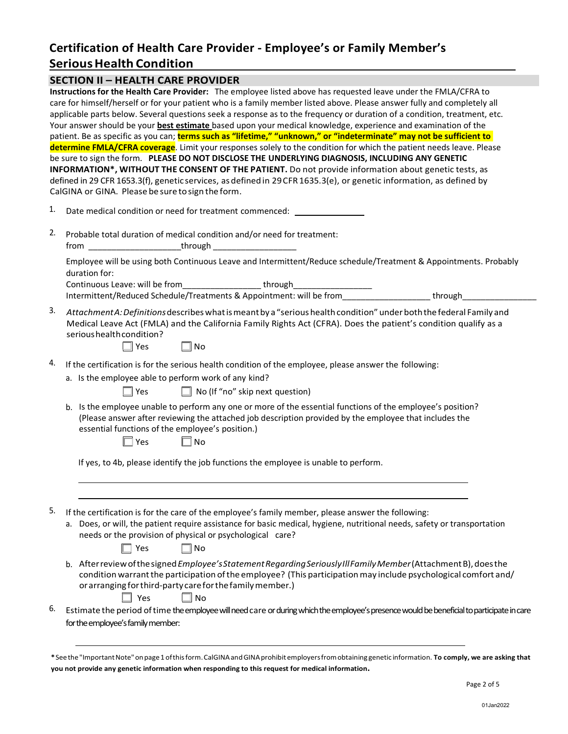# **Certification of Health Care Provider - Employee's or Family Member's Serious Health Condition**

|                                   | <b>SECTION II - HEALTH CARE PROVIDER</b>                                                                                                                                                                                                                                                                                                                                                                                                                                                                                                                                                                                 |  |  |  |  |
|-----------------------------------|--------------------------------------------------------------------------------------------------------------------------------------------------------------------------------------------------------------------------------------------------------------------------------------------------------------------------------------------------------------------------------------------------------------------------------------------------------------------------------------------------------------------------------------------------------------------------------------------------------------------------|--|--|--|--|
|                                   | Instructions for the Health Care Provider: The employee listed above has requested leave under the FMLA/CFRA to<br>care for himself/herself or for your patient who is a family member listed above. Please answer fully and completely all<br>applicable parts below. Several questions seek a response as to the frequency or duration of a condition, treatment, etc.<br>Your answer should be your <b>best estimate</b> based upon your medical knowledge, experience and examination of the<br>patient. Be as specific as you can; terms such as "lifetime," "unknown," or "indeterminate" may not be sufficient to |  |  |  |  |
|                                   | determine FMLA/CFRA coverage. Limit your responses solely to the condition for which the patient needs leave. Please                                                                                                                                                                                                                                                                                                                                                                                                                                                                                                     |  |  |  |  |
|                                   | be sure to sign the form. PLEASE DO NOT DISCLOSE THE UNDERLYING DIAGNOSIS, INCLUDING ANY GENETIC<br>INFORMATION*, WITHOUT THE CONSENT OF THE PATIENT. Do not provide information about genetic tests, as<br>defined in 29 CFR 1653.3(f), genetic services, as defined in 29 CFR 1635.3(e), or genetic information, as defined by<br>CalGINA or GINA. Please be sure to sign the form.                                                                                                                                                                                                                                    |  |  |  |  |
| 1.                                | Date medical condition or need for treatment commenced: ________________________                                                                                                                                                                                                                                                                                                                                                                                                                                                                                                                                         |  |  |  |  |
| 2.                                | Probable total duration of medical condition and/or need for treatment:<br>from ________________________through ______________________                                                                                                                                                                                                                                                                                                                                                                                                                                                                                   |  |  |  |  |
|                                   | Employee will be using both Continuous Leave and Intermittent/Reduce schedule/Treatment & Appointments. Probably<br>duration for:                                                                                                                                                                                                                                                                                                                                                                                                                                                                                        |  |  |  |  |
|                                   | Continuous Leave: will be from_____________________through______________________                                                                                                                                                                                                                                                                                                                                                                                                                                                                                                                                         |  |  |  |  |
| 3.                                | Attachment A: Definitions describes what is meant by a "serious health condition" under both the federal Family and<br>Medical Leave Act (FMLA) and the California Family Rights Act (CFRA). Does the patient's condition qualify as a<br>serious health condition?<br>$\square$ Yes<br>$\Box$ No                                                                                                                                                                                                                                                                                                                        |  |  |  |  |
| 4.                                | If the certification is for the serious health condition of the employee, please answer the following:                                                                                                                                                                                                                                                                                                                                                                                                                                                                                                                   |  |  |  |  |
|                                   | a. Is the employee able to perform work of any kind?<br>$\Box$ No (If "no" skip next question)<br>$\Box$ Yes                                                                                                                                                                                                                                                                                                                                                                                                                                                                                                             |  |  |  |  |
|                                   | b. Is the employee unable to perform any one or more of the essential functions of the employee's position?<br>(Please answer after reviewing the attached job description provided by the employee that includes the<br>essential functions of the employee's position.)<br>$\Box$ Yes<br>$\Box$ No                                                                                                                                                                                                                                                                                                                     |  |  |  |  |
|                                   | If yes, to 4b, please identify the job functions the employee is unable to perform.                                                                                                                                                                                                                                                                                                                                                                                                                                                                                                                                      |  |  |  |  |
| 5.                                | If the certification is for the care of the employee's family member, please answer the following:<br>Does, or will, the patient require assistance for basic medical, hygiene, nutritional needs, safety or transportation<br>needs or the provision of physical or psychological care?<br>Yes<br>No                                                                                                                                                                                                                                                                                                                    |  |  |  |  |
|                                   | After review of the signed Employee's Statement Regarding Seriously III Family Member (Attachment B), does the<br>b.<br>condition warrant the participation of the employee? (This participation may include psychological comfort and/<br>or arranging for third-party care for the family member.)<br>Yes<br>$\square$ No                                                                                                                                                                                                                                                                                              |  |  |  |  |
| 6.                                | Estimate the period of time the employee will need care or during which the employee's presence would be beneficial to participate in care                                                                                                                                                                                                                                                                                                                                                                                                                                                                               |  |  |  |  |
| for the employee's family member: |                                                                                                                                                                                                                                                                                                                                                                                                                                                                                                                                                                                                                          |  |  |  |  |
|                                   | *See the "Important Note" on page 1 of this form. CalGINA and GINA prohibit employers from obtaining genetic information. To comply, we are asking that                                                                                                                                                                                                                                                                                                                                                                                                                                                                  |  |  |  |  |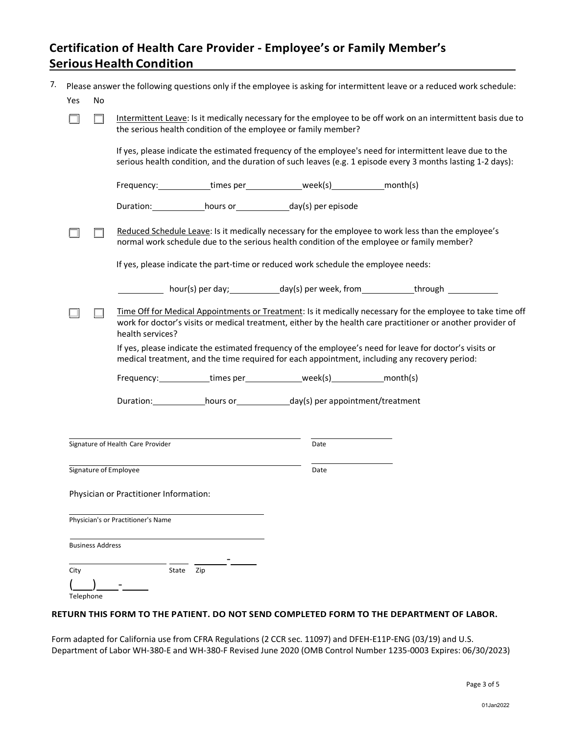# **Certification of Health Care Provider - Employee's or Family Member's Serious Health Condition**

|           |                         | Please answer the following questions only if the employee is asking for intermittent leave or a reduced work schedule:                                                                                                                         |      |  |  |  |
|-----------|-------------------------|-------------------------------------------------------------------------------------------------------------------------------------------------------------------------------------------------------------------------------------------------|------|--|--|--|
| Yes       | No                      |                                                                                                                                                                                                                                                 |      |  |  |  |
|           |                         | Intermittent Leave: Is it medically necessary for the employee to be off work on an intermittent basis due to<br>the serious health condition of the employee or family member?                                                                 |      |  |  |  |
|           |                         | If yes, please indicate the estimated frequency of the employee's need for intermittent leave due to the<br>serious health condition, and the duration of such leaves (e.g. 1 episode every 3 months lasting 1-2 days):                         |      |  |  |  |
|           |                         | Frequency: ____________times per ______________week(s) ______________ month(s)                                                                                                                                                                  |      |  |  |  |
|           |                         | Duration: hours or ___________ day(s) per episode                                                                                                                                                                                               |      |  |  |  |
|           |                         | Reduced Schedule Leave: Is it medically necessary for the employee to work less than the employee's<br>normal work schedule due to the serious health condition of the employee or family member?                                               |      |  |  |  |
|           |                         | If yes, please indicate the part-time or reduced work schedule the employee needs:                                                                                                                                                              |      |  |  |  |
|           |                         | hour(s) per day; ______________day(s) per week, from______________through ____________                                                                                                                                                          |      |  |  |  |
|           |                         | Time Off for Medical Appointments or Treatment: Is it medically necessary for the employee to take time off<br>work for doctor's visits or medical treatment, either by the health care practitioner or another provider of<br>health services? |      |  |  |  |
|           |                         | If yes, please indicate the estimated frequency of the employee's need for leave for doctor's visits or<br>medical treatment, and the time required for each appointment, including any recovery period:                                        |      |  |  |  |
|           |                         | Frequency: times per week(s) month(s)                                                                                                                                                                                                           |      |  |  |  |
|           |                         |                                                                                                                                                                                                                                                 |      |  |  |  |
|           |                         |                                                                                                                                                                                                                                                 |      |  |  |  |
|           |                         | Signature of Health Care Provider                                                                                                                                                                                                               | Date |  |  |  |
|           |                         | Signature of Employee                                                                                                                                                                                                                           | Date |  |  |  |
|           |                         | Physician or Practitioner Information:                                                                                                                                                                                                          |      |  |  |  |
|           |                         |                                                                                                                                                                                                                                                 |      |  |  |  |
|           |                         | Physician's or Practitioner's Name                                                                                                                                                                                                              |      |  |  |  |
|           | <b>Business Address</b> |                                                                                                                                                                                                                                                 |      |  |  |  |
| City      |                         | State<br>Zip                                                                                                                                                                                                                                    |      |  |  |  |
|           |                         |                                                                                                                                                                                                                                                 |      |  |  |  |
| Telephone |                         |                                                                                                                                                                                                                                                 |      |  |  |  |

#### **RETURN THIS FORM TO THE PATIENT. DO NOT SEND COMPLETED FORM TO THE DEPARTMENT OF LABOR.**

Form adapted for California use from CFRA Regulations (2 CCR sec. 11097) and DFEH-E11P-ENG (03/19) and U.S. Department of Labor WH-380-E and WH-380-F Revised June 2020 (OMB Control Number 1235-0003 Expires: 06/30/2023)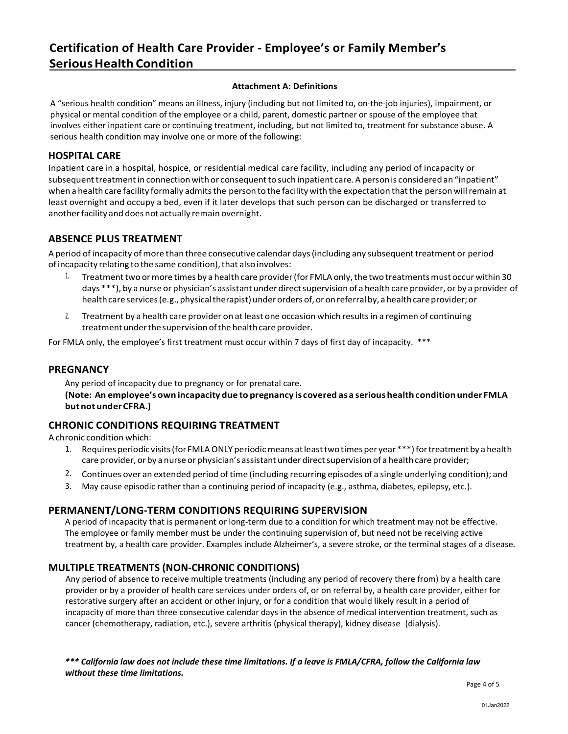# **Certification of Health Care Provider - Employee's or Family Member's SeriousHealth Condition**

#### **Attachment A: Definitions**

A "serious health condition" means an illness, injury (including but not limited to, on-the-job injuries), impairment, or physical or mental condition of the employee or a child, parent, domestic partner or spouse of the employee that involves either inpatient care or continuing treatment, including, but not limited to, treatment for substance abuse. A serious health condition may involve one or more of the following:

#### **HOSPITAL CARE**

Inpatient care in a hospital, hospice, or residential medical care facility, including any period of incapacity or subsequent treatment in connection with or consequent to such inpatient care. A person is considered an "inpatient" when a health care facility formally admits the person to the facility with the expectation that the person will remain at least overnight and occupy a bed, even if it later develops that such person can be discharged or transferred to another facility and does not actually remain overnight.

# **ABSENCE PLUS TREATMENT**

A period of incapacity of more than three consecutive calendar days (including any subsequent treatment or period of incapacity relating to the same condition), that also involves:

- 1. Treatment two or more times by a health care provider (for FMLA only, the two treatments must occur within 30 days \*\*\*), by a nurse or physician's assistant under direct supervision of a health care provider, or by a provider of health care services (e.g., physical therapist) under orders of, or on referral by, a health care provider; or
- 2. Treatment by a health care provider on atleast one occasion which resultsin a regimen of continuing treatment under the supervision of the health care provider.

For FMLA only, the employee's first treatment must occur within 7 days of first day of incapacity. \*\*\*

### **PREGNANCY**

Any period of incapacity due to pregnancy or for prenatal care.

**(Note: An employee's own incapacity due to pregnancy is covered asa serious healthconditionunder FMLA but not underCFRA.)**

### **CHRONIC CONDITIONS REQUIRING TREATMENT**

A chronic condition which:

- 1. Requires periodic visits(for FMLAONLY periodicmeans atleasttwotimesper year \*\*\*)fortreatmentby a health care provider, or by a nurse or physician's assistant under direct supervision of a health care provider;
- 2. Continues over an extended period oftime (including recurring episodes of a single underlying condition); and
- 3. May cause episodic rather than a continuing period of incapacity (e.g., asthma, diabetes, epilepsy, etc.).

### **PERMANENT/LONG-TERM CONDITIONS REQUIRING SUPERVISION**

A period of incapacity that is permanent or long-term due to a condition for which treatment may not be effective. The employee or family member must be under the continuing supervision of, but need not be receiving active treatment by, a health care provider. Examples include Alzheimer's, a severe stroke, or the terminal stages of a disease.

### **MULTIPLE TREATMENTS (NON-CHRONIC CONDITIONS)**

Any period of absence to receive multiple treatments (including any period of recovery there from) by a health care provider or by a provider of health care services under orders of, or on referral by, a health care provider, either for restorative surgery after an accident or other injury, or for a condition that would likely result in a period of incapacity of more than three consecutive calendar days in the absence of medical intervention treatment, such as cancer (chemotherapy, radiation, etc.), severe arthritis (physical therapy), kidney disease (dialysis).

*\*\*\* California law does not include these time limitations. If a leave is FMLA/CFRA, follow the California law without these time limitations.*